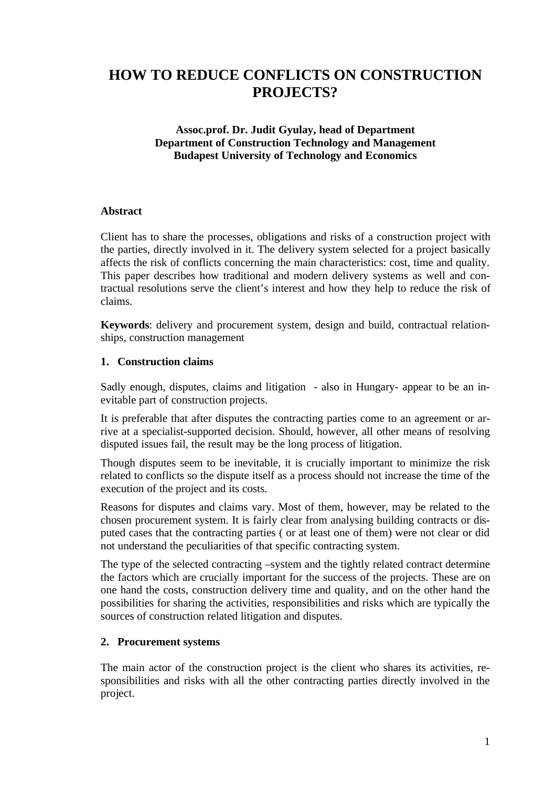# **HOW TO REDUCE CONFLICTS ON CONSTRUCTION PROJECTS?**

## **Assoc.prof. Dr. Judit Gyulay, head of Department Department of Construction Technology and Management Budapest University of Technology and Economics**

# **Abstract**

Client has to share the processes, obligations and risks of a construction project with the parties, directly involved in it. The delivery system selected for a project basically affects the risk of conflicts concerning the main characteristics: cost, time and quality. This paper describes how traditional and modern delivery systems as well and contractual resolutions serve the client's interest and how they help to reduce the risk of claims.

**Keywords**: delivery and procurement system, design and build, contractual relationships, construction management

# **1. Construction claims**

Sadly enough, disputes, claims and litigation - also in Hungary- appear to be an inevitable part of construction projects.

It is preferable that after disputes the contracting parties come to an agreement or arrive at a specialist-supported decision. Should, however, all other means of resolving disputed issues fail, the result may be the long process of litigation.

Though disputes seem to be inevitable, it is crucially important to minimize the risk related to conflicts so the dispute itself as a process should not increase the time of the execution of the project and its costs.

Reasons for disputes and claims vary. Most of them, however, may be related to the chosen procurement system. It is fairly clear from analysing building contracts or disputed cases that the contracting parties ( or at least one of them) were not clear or did not understand the peculiarities of that specific contracting system.

The type of the selected contracting –system and the tightly related contract determine the factors which are crucially important for the success of the projects. These are on one hand the costs, construction delivery time and quality, and on the other hand the possibilities for sharing the activities, responsibilities and risks which are typically the sources of construction related litigation and disputes.

## **2. Procurement systems**

The main actor of the construction project is the client who shares its activities, responsibilities and risks with all the other contracting parties directly involved in the project.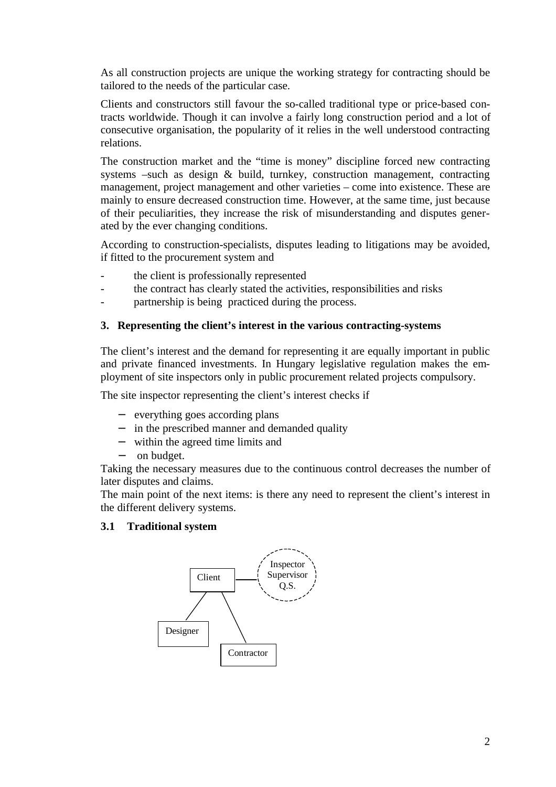As all construction projects are unique the working strategy for contracting should be tailored to the needs of the particular case.

Clients and constructors still favour the so-called traditional type or price-based contracts worldwide. Though it can involve a fairly long construction period and a lot of consecutive organisation, the popularity of it relies in the well understood contracting relations.

The construction market and the "time is money" discipline forced new contracting systems –such as design & build, turnkey, construction management, contracting management, project management and other varieties – come into existence. These are mainly to ensure decreased construction time. However, at the same time, just because of their peculiarities, they increase the risk of misunderstanding and disputes generated by the ever changing conditions.

According to construction-specialists, disputes leading to litigations may be avoided, if fitted to the procurement system and

- the client is professionally represented
- the contract has clearly stated the activities, responsibilities and risks
- partnership is being practiced during the process.

## **3. Representing the client's interest in the various contracting-systems**

The client's interest and the demand for representing it are equally important in public and private financed investments. In Hungary legislative regulation makes the employment of site inspectors only in public procurement related projects compulsory.

The site inspector representing the client's interest checks if

- − everything goes according plans
- − in the prescribed manner and demanded quality
- within the agreed time limits and
- − on budget.

Taking the necessary measures due to the continuous control decreases the number of later disputes and claims.

The main point of the next items: is there any need to represent the client's interest in the different delivery systems.

## **3.1 Traditional system**

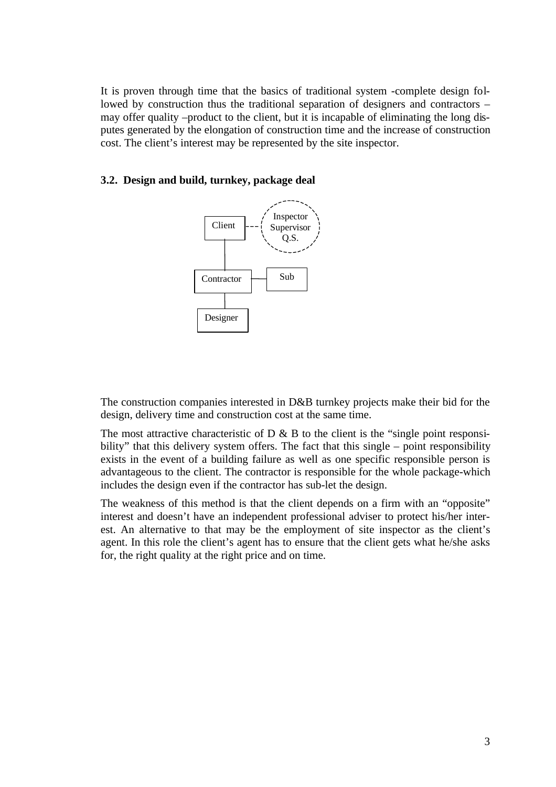It is proven through time that the basics of traditional system -complete design followed by construction thus the traditional separation of designers and contractors – may offer quality –product to the client, but it is incapable of eliminating the long disputes generated by the elongation of construction time and the increase of construction cost. The client's interest may be represented by the site inspector.

#### **3.2. Design and build, turnkey, package deal**



The construction companies interested in D&B turnkey projects make their bid for the design, delivery time and construction cost at the same time.

The most attractive characteristic of  $D \& B$  to the client is the "single point responsibility" that this delivery system offers. The fact that this single – point responsibility exists in the event of a building failure as well as one specific responsible person is advantageous to the client. The contractor is responsible for the whole package-which includes the design even if the contractor has sub-let the design.

The weakness of this method is that the client depends on a firm with an "opposite" interest and doesn't have an independent professional adviser to protect his/her interest. An alternative to that may be the employment of site inspector as the client's agent. In this role the client's agent has to ensure that the client gets what he/she asks for, the right quality at the right price and on time.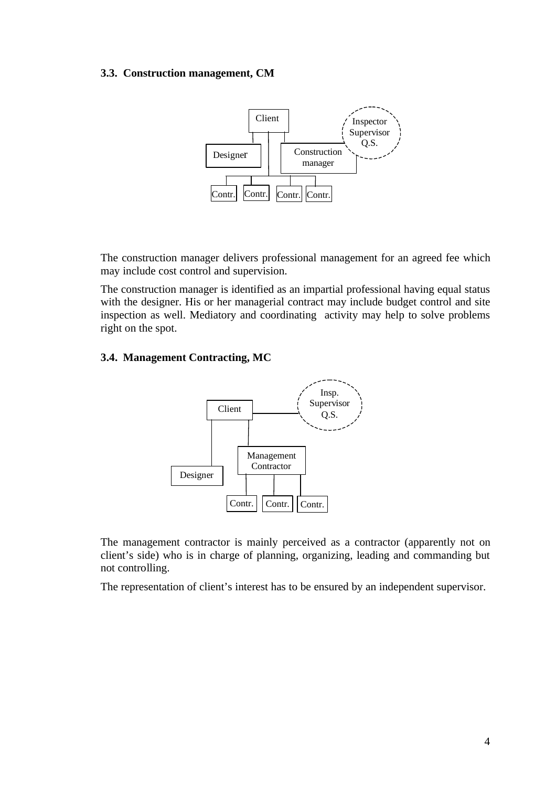#### **3.3. Construction management, CM**



The construction manager delivers professional management for an agreed fee which may include cost control and supervision.

The construction manager is identified as an impartial professional having equal status with the designer. His or her managerial contract may include budget control and site inspection as well. Mediatory and coordinating activity may help to solve problems right on the spot.

## **3.4. Management Contracting, MC**



The management contractor is mainly perceived as a contractor (apparently not on client's side) who is in charge of planning, organizing, leading and commanding but not controlling.

The representation of client's interest has to be ensured by an independent supervisor.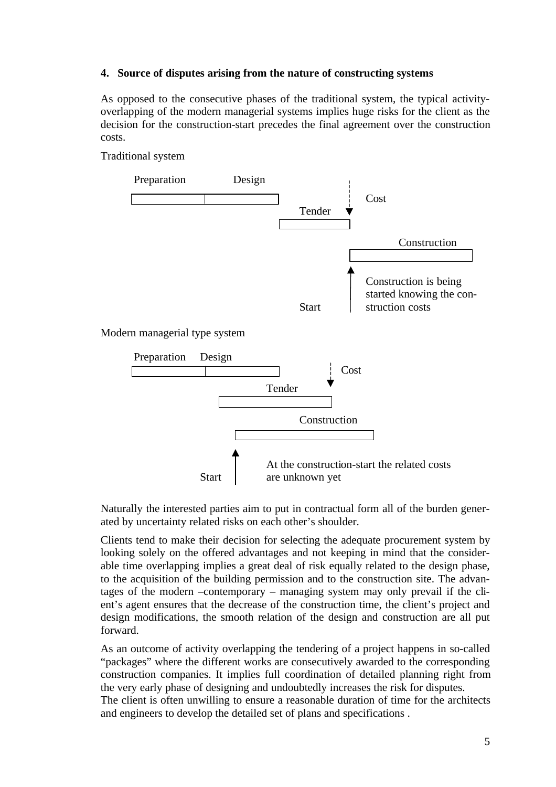## **4. Source of disputes arising from the nature of constructing systems**

As opposed to the consecutive phases of the traditional system, the typical activityoverlapping of the modern managerial systems implies huge risks for the client as the decision for the construction-start precedes the final agreement over the construction costs.

# Traditional system



## Modern managerial type system



Naturally the interested parties aim to put in contractual form all of the burden generated by uncertainty related risks on each other's shoulder.

Clients tend to make their decision for selecting the adequate procurement system by looking solely on the offered advantages and not keeping in mind that the considerable time overlapping implies a great deal of risk equally related to the design phase, to the acquisition of the building permission and to the construction site. The advantages of the modern –contemporary – managing system may only prevail if the client's agent ensures that the decrease of the construction time, the client's project and design modifications, the smooth relation of the design and construction are all put forward.

As an outcome of activity overlapping the tendering of a project happens in so-called "packages" where the different works are consecutively awarded to the corresponding construction companies. It implies full coordination of detailed planning right from the very early phase of designing and undoubtedly increases the risk for disputes.

The client is often unwilling to ensure a reasonable duration of time for the architects and engineers to develop the detailed set of plans and specifications .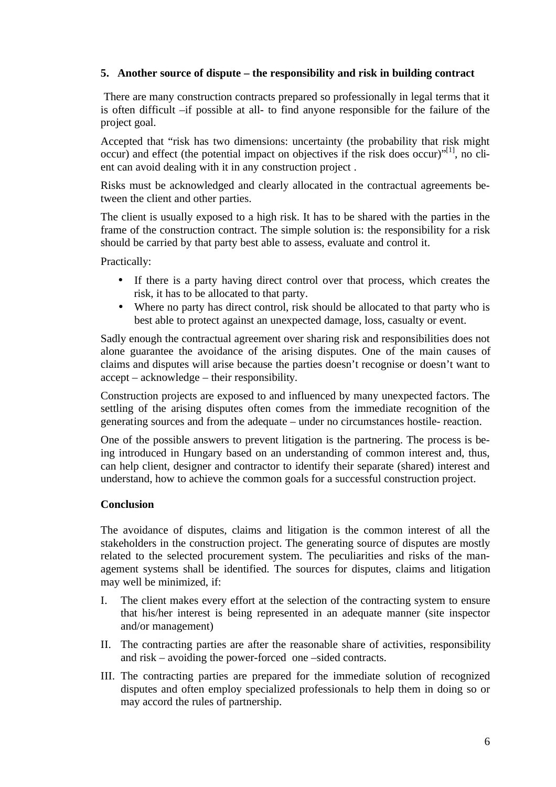# **5. Another source of dispute – the responsibility and risk in building contract**

 There are many construction contracts prepared so professionally in legal terms that it is often difficult –if possible at all- to find anyone responsible for the failure of the project goal.

Accepted that "risk has two dimensions: uncertainty (the probability that risk might occur) and effect (the potential impact on objectives if the risk does occur) $"^{[1]}$ , no client can avoid dealing with it in any construction project .

Risks must be acknowledged and clearly allocated in the contractual agreements between the client and other parties.

The client is usually exposed to a high risk. It has to be shared with the parties in the frame of the construction contract. The simple solution is: the responsibility for a risk should be carried by that party best able to assess, evaluate and control it.

Practically:

- If there is a party having direct control over that process, which creates the risk, it has to be allocated to that party.
- Where no party has direct control, risk should be allocated to that party who is best able to protect against an unexpected damage, loss, casualty or event.

Sadly enough the contractual agreement over sharing risk and responsibilities does not alone guarantee the avoidance of the arising disputes. One of the main causes of claims and disputes will arise because the parties doesn't recognise or doesn't want to accept – acknowledge – their responsibility.

Construction projects are exposed to and influenced by many unexpected factors. The settling of the arising disputes often comes from the immediate recognition of the generating sources and from the adequate – under no circumstances hostile- reaction.

One of the possible answers to prevent litigation is the partnering. The process is being introduced in Hungary based on an understanding of common interest and, thus, can help client, designer and contractor to identify their separate (shared) interest and understand, how to achieve the common goals for a successful construction project.

# **Conclusion**

The avoidance of disputes, claims and litigation is the common interest of all the stakeholders in the construction project. The generating source of disputes are mostly related to the selected procurement system. The peculiarities and risks of the management systems shall be identified. The sources for disputes, claims and litigation may well be minimized, if:

- I. The client makes every effort at the selection of the contracting system to ensure that his/her interest is being represented in an adequate manner (site inspector and/or management)
- II. The contracting parties are after the reasonable share of activities, responsibility and risk – avoiding the power-forced one –sided contracts.
- III. The contracting parties are prepared for the immediate solution of recognized disputes and often employ specialized professionals to help them in doing so or may accord the rules of partnership.